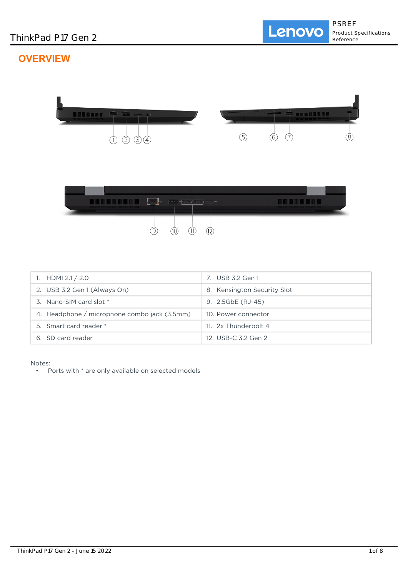# **OVERVIEW**





| 1. HDMI $2.1 / 2.0$                          | 7. USB 3.2 Gen 1            |
|----------------------------------------------|-----------------------------|
| 2. USB 3.2 Gen 1 (Always On)                 | 8. Kensington Security Slot |
| 3. Nano-SIM card slot *                      | 9. 2.5GbE (RJ-45)           |
| 4. Headphone / microphone combo jack (3.5mm) | 10. Power connector         |
| 5. Smart card reader *                       | 11. 2x Thunderbolt 4        |
| 6. SD card reader                            | 12. USB-C 3.2 Gen 2         |

Notes:

• Ports with \* are only available on selected models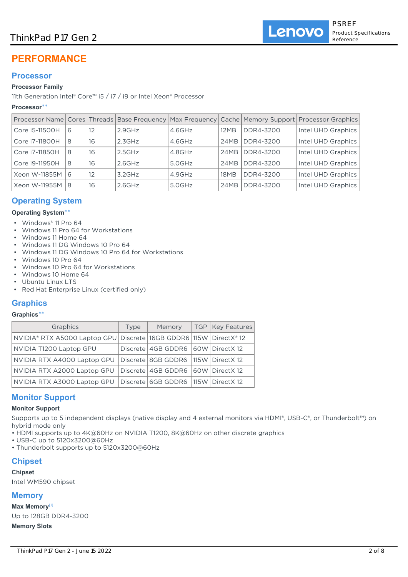# ThinkPad P17 Gen 2

# **PERFORMANCE**

# **Processor**

### **Processor Family**

11th Generation Intel® Core™ i5 / i7 / i9 or Intel Xeon® Processor

## **Processor**\*\*

|                |   |    |           |           |             |           | Processor Name Cores Threads Base Frequency Max Frequency Cache Memory Support Processor Graphics |
|----------------|---|----|-----------|-----------|-------------|-----------|---------------------------------------------------------------------------------------------------|
| Core i5-11500H | 6 | 12 | $2.9$ GHz | $4.6$ GHz | 12MB        | DDR4-3200 | Intel UHD Graphics                                                                                |
| Core i7-11800H | 8 | 16 | 2.3GHz    | $4.6$ GHz | 24MB        | DDR4-3200 | Intel UHD Graphics                                                                                |
| Core i7-11850H | 8 | 16 | 2.5GHz    | 4.8GHz    | 24MB        | DDR4-3200 | Intel UHD Graphics                                                                                |
| Core i9-11950H | 8 | 16 | $2.6$ GHz | $5.0$ GHz | <b>24MB</b> | DDR4-3200 | Intel UHD Graphics                                                                                |
| Xeon W-11855M  | 6 | 12 | $3.2$ GHz | 4.9GHz    | 18MB        | DDR4-3200 | Intel UHD Graphics                                                                                |
| Xeon W-11955M  | 8 | 16 | $2.6$ GHz | 5.0GHz    | 24MB        | DDR4-3200 | Intel UHD Graphics                                                                                |

# **Operating System**

### **Operating System**\*\*

- Windows® 11 Pro 64
- Windows 11 Pro 64 for Workstations
- Windows 11 Home 64
- Windows 11 DG Windows 10 Pro 64
- Windows 11 DG Windows 10 Pro 64 for Workstations
- Windows 10 Pro 64
- Windows 10 Pro 64 for Workstations
- Windows 10 Home 64
- Ubuntu Linux LTS
- Red Hat Enterprise Linux (certified only)

# **Graphics**

### **Graphics**\*\*

| Graphics                                                               | Type | Memory                                  | TGP   Key Features |
|------------------------------------------------------------------------|------|-----------------------------------------|--------------------|
| NVIDIA® RTX A5000 Laptop GPU Discrete 16GB GDDR6 115W DirectX® 12      |      |                                         |                    |
| NVIDIA T1200 Laptop GPU                                                |      | Discrete 4GB GDDR6 60W DirectX 12       |                    |
| NVIDIA RTX A4000 Laptop GPU                                            |      | Discrete 8GB GDDR6 115W DirectX 12      |                    |
| NVIDIA RTX A2000 Laptop GPU                                            |      | Discrete   4GB GDDR6   60W   DirectX 12 |                    |
| NVIDIA RTX A3000 Laptop GPU   Discrete   6GB GDDR6   115W   DirectX 12 |      |                                         |                    |

# **Monitor Support**

### **Monitor Support**

Supports up to 5 independent displays (native display and 4 external monitors via HDMI®, USB-C®, or Thunderbolt™) on hybrid mode only

- HDMI supports up to 4K@60Hz on NVIDIA T1200, 8K@60Hz on other discrete graphics
- USB-C up to 5120x3200@60Hz
- Thunderbolt supports up to 5120x3200@60Hz

# **Chipset**

## **Chipset**

Intel WM590 chipset

# **Memory**

**Max Memory**[1]

Up to 128GB DDR4-3200

## **Memory Slots**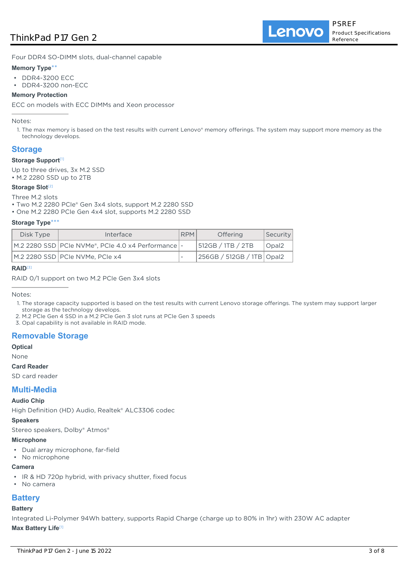# ThinkPad P17 Gen 2

Lenovo

Four DDR4 SO-DIMM slots, dual-channel capable

### **Memory Type**\*\*

- DDR4-3200 ECC
- DDR4-3200 non-ECC

### **Memory Protection**

ECC on models with ECC DIMMs and Xeon processor

Notes:

1. The max memory is based on the test results with current Lenovo® memory offerings. The system may support more memory as the technology develops.

## **Storage**

### **Storage Support**[1]

Up to three drives, 3x M.2 SSD • M.2 2280 SSD up to 2TB

### **Storage Slot<sup>[2]</sup>**

Three M.2 slots

- Two M.2 2280 PCIe® Gen 3x4 slots, support M.2 2280 SSD
- One M.2 2280 PCIe Gen 4x4 slot, supports M.2 2280 SSD

### **Storage Type**\*\*\*

| Disk Type | Interface                                              | <b>RPM</b> | <b>Offering</b>           | Security     |
|-----------|--------------------------------------------------------|------------|---------------------------|--------------|
|           | M.2 2280 SSD   PCIe NVMe®, PCIe 4.0 x4 Performance   - |            | 512GB / 1TB / 2TB         | $\cup$ Opal2 |
|           | M.2 2280 SSD   PCIe NVMe, PCIe x4                      |            | 256GB / 512GB / 1TB Opal2 |              |

## **RAID**[3]

RAID 0/1 support on two M.2 PCIe Gen 3x4 slots

Notes:

- 1. The storage capacity supported is based on the test results with current Lenovo storage offerings. The system may support larger storage as the technology develops.
- 2. M.2 PCIe Gen 4 SSD in a M.2 PCIe Gen 3 slot runs at PCIe Gen 3 speeds
- 3. Opal capability is not available in RAID mode.

# **Removable Storage**

**Optical**

None

### **Card Reader**

SD card reader

# **Multi-Media**

### **Audio Chip**

High Definition (HD) Audio, Realtek® ALC3306 codec

### **Speakers**

Stereo speakers, Dolby® Atmos®

### **Microphone**

- Dual array microphone, far-field
- No microphone

### **Camera**

- IR & HD 720p hybrid, with privacy shutter, fixed focus
- No camera

# **Battery**

### **Battery**

Integrated Li-Polymer 94Wh battery, supports Rapid Charge (charge up to 80% in 1hr) with 230W AC adapter **Max Battery Life**[1]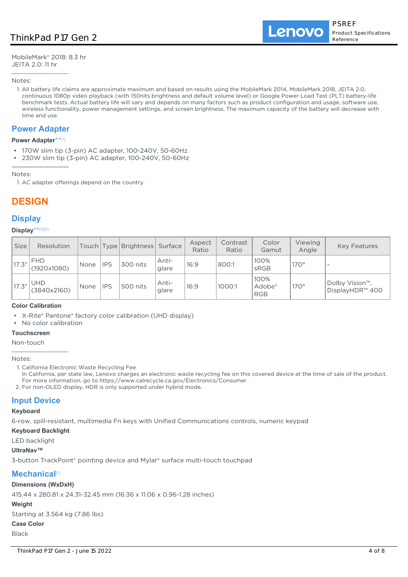MobileMark® 2018: 8.3 hr JEITA 2.0: 11 hr

Notes:

1. All battery life claims are approximate maximum and based on results using the MobileMark 2014, MobileMark 2018, JEITA 2.0, continuous 1080p video playback (with 150nits brightness and default volume level) or Google Power Load Test (PLT) battery-life benchmark tests. Actual battery life will vary and depends on many factors such as product configuration and usage, software use, wireless functionality, power management settings, and screen brightness. The maximum capacity of the battery will decrease with time and use.

## **Power Adapter**

### **Power Adapter**\*\* [1]

- 170W slim tip (3-pin) AC adapter, 100-240V, 50-60Hz
- 230W slim tip (3-pin) AC adapter, 100-240V, 50-60Hz

Notes:

1. AC adapter offerings depend on the country.

# **DESIGN**

# **Display**

### **Display**\*\* [1][2]

| <b>Size</b> | Resolution                |      |            | Touch Type Brightness Surface |                | Aspect<br>Ratio | Contrast<br>Ratio | Color<br>Gamut                           | <b>Viewing</b><br>Angle | <b>Key Features</b>                            |
|-------------|---------------------------|------|------------|-------------------------------|----------------|-----------------|-------------------|------------------------------------------|-------------------------|------------------------------------------------|
| 17.3"       | <b>FHD</b><br>(1920x1080) | None | <b>IPS</b> | 300 nits                      | Anti-<br>glare | 16:9            | 800:1             | 100%<br>sRGB                             | $170^\circ$             |                                                |
| 17.3"       | <b>UHD</b><br>(3840x2160) | None | <b>IPS</b> | 500 nits                      | Anti-<br>glare | 16:9            | 1000:1            | 100%<br>Adobe <sup>®</sup><br><b>RGB</b> | $170^\circ$             | Dolby Vision <sup>™</sup> .<br>DisplayHDR™ 400 |

### **Color Calibration**

• X-Rite® Pantone® factory color calibration (UHD display)

• No color calibration

### **Touchscreen**

Non-touch

Notes:

1. California Electronic Waste Recycling Fee

In California, per state law, Lenovo charges an electronic waste recycling fee on this covered device at the time of sale of the product. For more information, go to https://www.calrecycle.ca.gov/Electronics/Consumer

2. For non-OLED display, HDR is only supported under hybrid mode.

# **Input Device**

### **Keyboard**

6-row, spill-resistant, multimedia Fn keys with Unified Communications controls, numeric keypad

**Keyboard Backlight**

LED backlight

## **UltraNav™**

3-button TrackPoint® pointing device and Mylar® surface multi-touch touchpad

# **Mechanical**<sup>[1]</sup>

# **Dimensions (WxDxH)**

415.44 x 280.81 x 24.31-32.45 mm (16.36 x 11.06 x 0.96-1.28 inches)

# **Weight**

Starting at 3.564 kg (7.86 lbs)

## **Case Color**

Black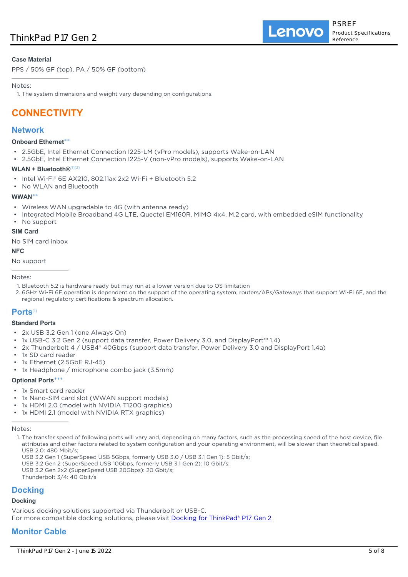## **Case Material**

PPS / 50% GF (top), PA / 50% GF (bottom)

### Notes:

1. The system dimensions and weight vary depending on configurations.

# **CONNECTIVITY**

## **Network**

### **Onboard Ethernet**\*\*

- 2.5GbE, Intel Ethernet Connection I225-LM (vPro models), supports Wake-on-LAN
- 2.5GbE, Intel Ethernet Connection I225-V (non-vPro models), supports Wake-on-LAN

### **WLAN + Bluetooth®**[1][2]

- Intel Wi-Fi® 6E AX210, 802.11ax 2x2 Wi-Fi + Bluetooth 5.2
- No WLAN and Bluetooth

### **WWAN**\*\*

- Wireless WAN upgradable to 4G (with antenna ready)
- Integrated Mobile Broadband 4G LTE, Quectel EM160R, MIMO 4x4, M.2 card, with embedded eSIM functionality
- No support

### **SIM Card**

No SIM card inbox

# **NFC**

No support

### Notes:

- 1. Bluetooth 5.2 is hardware ready but may run at a lower version due to OS limitation
- 2. 6GHz Wi-Fi 6E operation is dependent on the support of the operating system, routers/APs/Gateways that support Wi-Fi 6E, and the regional regulatory certifications & spectrum allocation.

## **Ports**[1]

### **Standard Ports**

- 2x USB 3.2 Gen 1 (one Always On)
- 1x USB-C 3.2 Gen 2 (support data transfer, Power Delivery 3.0, and DisplayPort™ 1.4)
- 2x Thunderbolt 4 / USB4® 40Gbps (support data transfer, Power Delivery 3.0 and DisplayPort 1.4a)
- 1x SD card reader
- 1x Ethernet (2.5GbE RJ-45)
- 1x Headphone / microphone combo jack (3.5mm)

### **Optional Ports**\*\*\*

- 1x Smart card reader
- 1x Nano-SIM card slot (WWAN support models)
- 1x HDMI 2.0 (model with NVIDIA T1200 graphics)
- 1x HDMI 2.1 (model with NVIDIA RTX graphics)

### Notes:

- 1. The transfer speed of following ports will vary and, depending on many factors, such as the processing speed of the host device, file attributes and other factors related to system configuration and your operating environment, will be slower than theoretical speed. USB 2.0: 480 Mbit/s;
- USB 3.2 Gen 1 (SuperSpeed USB 5Gbps, formerly USB 3.0 / USB 3.1 Gen 1): 5 Gbit/s;
- USB 3.2 Gen 2 (SuperSpeed USB 10Gbps, formerly USB 3.1 Gen 2): 10 Gbit/s;
- USB 3.2 Gen 2x2 (SuperSpeed USB 20Gbps): 20 Gbit/s;

Thunderbolt 3/4: 40 Gbit/s

# **Docking**

## **Docking**

Various docking solutions supported via Thunderbolt or USB-C.

For more compatible docking solutions, please visit [Docking for ThinkPad® P17 Gen 2](https://smartfind.lenovo.com/accessories/#/search?categoryL1Name=Docking&categoryL2Names&pageIndex=1&pageSize=40&query=20YU)

# **Monitor Cable**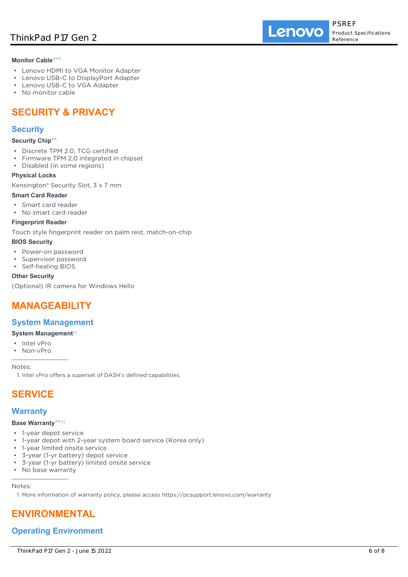### **Monitor Cable**\*\*\*

- Lenovo HDMI to VGA Monitor Adapter
- Lenovo USB-C to DisplayPort Adapter
- Lenovo USB-C to VGA Adapter
- No monitor cable

# **SECURITY & PRIVACY**

# **Security**

### **Security Chip**\*\*

- Discrete TPM 2.0, TCG certified
- Firmware TPM 2.0 integrated in chipset
- Disabled (in some regions)

## **Physical Locks**

Kensington® Security Slot, 3 x 7 mm

## **Smart Card Reader**

- Smart card reader
- No smart card reader

### **Fingerprint Reader**

Touch style fingerprint reader on palm rest, match-on-chip

### **BIOS Security**

- Power-on password
- Supervisor password
- Self-healing BIOS

## **Other Security**

(Optional) IR camera for Windows Hello

# **MANAGEABILITY**

# **System Management**

- **System Management**[1]
- Intel vPro
- Non-vPro

Notes:

1. Intel vPro offers a superset of DASH's defined capabilities.

# **SERVICE**

# **Warranty**

# **Base Warranty**\*\* [1]

- 1-year depot service
- 1-year depot with 2-year system board service (Korea only)
- 1-year limited onsite service
- 3-year (1-yr battery) depot service
- 3-year (1-yr battery) limited onsite service
- No base warranty

# Notes:

1. More information of warranty policy, please access https://pcsupport.lenovo.com/warranty

# **ENVIRONMENTAL**

# **Operating Environment**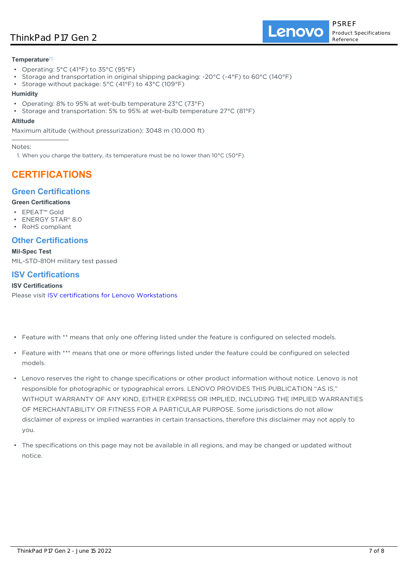# ThinkPad P17 Gen 2

Lenovo

### **Temperature**[1]

- Operating: 5°C (41°F) to 35°C (95°F)
- Storage and transportation in original shipping packaging: -20°C (-4°F) to 60°C (140°F)
- Storage without package: 5°C (41°F) to 43°C (109°F)

### **Humidity**

- Operating: 8% to 95% at wet-bulb temperature 23°C (73°F)
- Storage and transportation: 5% to 95% at wet-bulb temperature 27°C (81°F)

#### **Altitude**

Maximum altitude (without pressurization): 3048 m (10,000 ft)

Notes:

1. When you charge the battery, its temperature must be no lower than  $10^{\circ}$ C (50°F).

# **CERTIFICATIONS**

# **Green Certifications**

### **Green Certifications**

- EPEAT™ Gold
- ENERGY STAR® 8.0
- RoHS compliant

# **Other Certifications**

**Mil-Spec Test**

MIL-STD-810H military test passed

# **ISV Certifications**

### **ISV Certifications**

Please visit [ISV certifications for Lenovo Workstations](https://www.thinkworkstations.com/isv-certifications/)

- Feature with \*\* means that only one offering listed under the feature is configured on selected models.
- Feature with \*\*\* means that one or more offerings listed under the feature could be configured on selected models.
- Lenovo reserves the right to change specifications or other product information without notice. Lenovo is not responsible for photographic or typographical errors. LENOVO PROVIDES THIS PUBLICATION "AS IS," WITHOUT WARRANTY OF ANY KIND, EITHER EXPRESS OR IMPLIED, INCLUDING THE IMPLIED WARRANTIES OF MERCHANTABILITY OR FITNESS FOR A PARTICULAR PURPOSE. Some jurisdictions do not allow disclaimer of express or implied warranties in certain transactions, therefore this disclaimer may not apply to you.
- The specifications on this page may not be available in all regions, and may be changed or updated without notice.